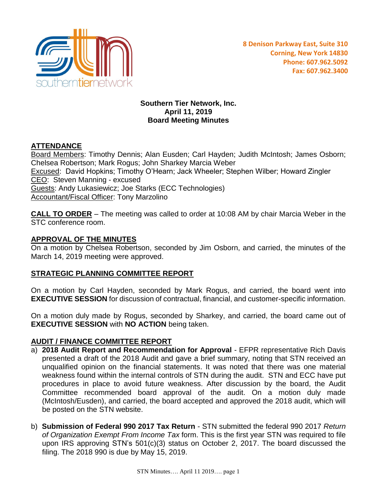

### **Southern Tier Network, Inc. April 11, 2019 Board Meeting Minutes**

# **ATTENDANCE**

Board Members: Timothy Dennis; Alan Eusden; Carl Hayden; Judith McIntosh; James Osborn; Chelsea Robertson; Mark Rogus; John Sharkey Marcia Weber Excused: David Hopkins; Timothy O'Hearn; Jack Wheeler; Stephen Wilber; Howard Zingler CEO: Steven Manning - excused Guests: Andy Lukasiewicz; Joe Starks (ECC Technologies) Accountant/Fiscal Officer: Tony Marzolino

**CALL TO ORDER** – The meeting was called to order at 10:08 AM by chair Marcia Weber in the STC conference room.

## **APPROVAL OF THE MINUTES**

On a motion by Chelsea Robertson, seconded by Jim Osborn, and carried, the minutes of the March 14, 2019 meeting were approved.

## **STRATEGIC PLANNING COMMITTEE REPORT**

On a motion by Carl Hayden, seconded by Mark Rogus, and carried, the board went into **EXECUTIVE SESSION** for discussion of contractual, financial, and customer-specific information.

On a motion duly made by Rogus, seconded by Sharkey, and carried, the board came out of **EXECUTIVE SESSION** with **NO ACTION** being taken.

### **AUDIT / FINANCE COMMITTEE REPORT**

- a) **2018 Audit Report and Recommendation for Approval** EFPR representative Rich Davis presented a draft of the 2018 Audit and gave a brief summary, noting that STN received an unqualified opinion on the financial statements. It was noted that there was one material weakness found within the internal controls of STN during the audit. STN and ECC have put procedures in place to avoid future weakness. After discussion by the board, the Audit Committee recommended board approval of the audit. On a motion duly made (McIntosh/Eusden), and carried, the board accepted and approved the 2018 audit, which will be posted on the STN website.
- b) **Submission of Federal 990 2017 Tax Return** STN submitted the federal 990 2017 *Return of Organization Exempt From Income Tax* form. This is the first year STN was required to file upon IRS approving STN's 501(c)(3) status on October 2, 2017. The board discussed the filing. The 2018 990 is due by May 15, 2019.